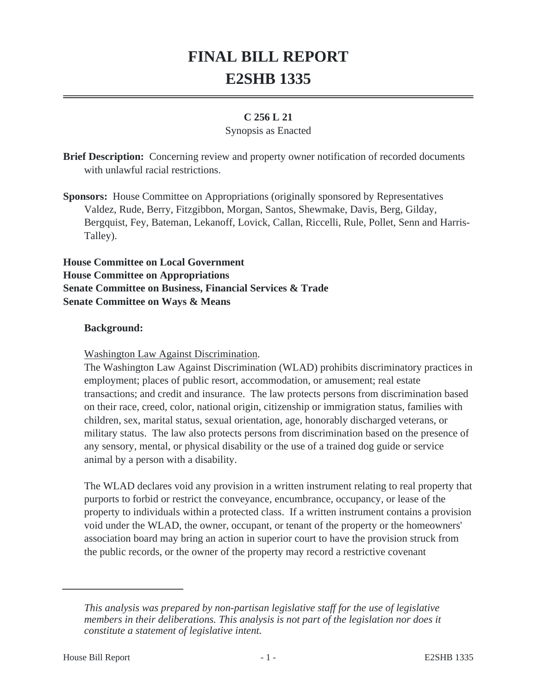# **FINAL BILL REPORT E2SHB 1335**

## **C 256 L 21**

#### Synopsis as Enacted

**Brief Description:** Concerning review and property owner notification of recorded documents with unlawful racial restrictions.

**Sponsors:** House Committee on Appropriations (originally sponsored by Representatives Valdez, Rude, Berry, Fitzgibbon, Morgan, Santos, Shewmake, Davis, Berg, Gilday, Bergquist, Fey, Bateman, Lekanoff, Lovick, Callan, Riccelli, Rule, Pollet, Senn and Harris-Talley).

**House Committee on Local Government House Committee on Appropriations Senate Committee on Business, Financial Services & Trade Senate Committee on Ways & Means**

#### **Background:**

Washington Law Against Discrimination.

The Washington Law Against Discrimination (WLAD) prohibits discriminatory practices in employment; places of public resort, accommodation, or amusement; real estate transactions; and credit and insurance. The law protects persons from discrimination based on their race, creed, color, national origin, citizenship or immigration status, families with children, sex, marital status, sexual orientation, age, honorably discharged veterans, or military status. The law also protects persons from discrimination based on the presence of any sensory, mental, or physical disability or the use of a trained dog guide or service animal by a person with a disability.

The WLAD declares void any provision in a written instrument relating to real property that purports to forbid or restrict the conveyance, encumbrance, occupancy, or lease of the property to individuals within a protected class. If a written instrument contains a provision void under the WLAD, the owner, occupant, or tenant of the property or the homeowners' association board may bring an action in superior court to have the provision struck from the public records, or the owner of the property may record a restrictive covenant

*This analysis was prepared by non-partisan legislative staff for the use of legislative members in their deliberations. This analysis is not part of the legislation nor does it constitute a statement of legislative intent.*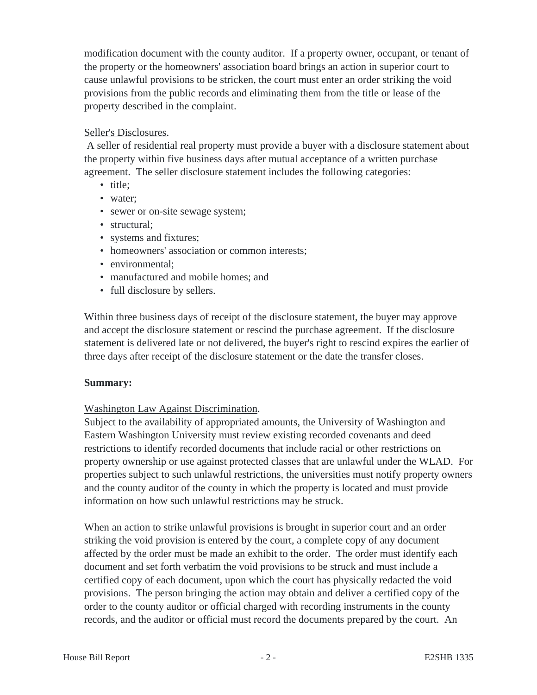modification document with the county auditor. If a property owner, occupant, or tenant of the property or the homeowners' association board brings an action in superior court to cause unlawful provisions to be stricken, the court must enter an order striking the void provisions from the public records and eliminating them from the title or lease of the property described in the complaint.

## Seller's Disclosures.

 A seller of residential real property must provide a buyer with a disclosure statement about the property within five business days after mutual acceptance of a written purchase agreement. The seller disclosure statement includes the following categories:

- title;
- water;
- sewer or on-site sewage system;
- structural:
- systems and fixtures;
- homeowners' association or common interests;
- environmental:
- manufactured and mobile homes; and
- full disclosure by sellers.

Within three business days of receipt of the disclosure statement, the buyer may approve and accept the disclosure statement or rescind the purchase agreement. If the disclosure statement is delivered late or not delivered, the buyer's right to rescind expires the earlier of three days after receipt of the disclosure statement or the date the transfer closes.

#### **Summary:**

# Washington Law Against Discrimination.

Subject to the availability of appropriated amounts, the University of Washington and Eastern Washington University must review existing recorded covenants and deed restrictions to identify recorded documents that include racial or other restrictions on property ownership or use against protected classes that are unlawful under the WLAD. For properties subject to such unlawful restrictions, the universities must notify property owners and the county auditor of the county in which the property is located and must provide information on how such unlawful restrictions may be struck.

When an action to strike unlawful provisions is brought in superior court and an order striking the void provision is entered by the court, a complete copy of any document affected by the order must be made an exhibit to the order. The order must identify each document and set forth verbatim the void provisions to be struck and must include a certified copy of each document, upon which the court has physically redacted the void provisions. The person bringing the action may obtain and deliver a certified copy of the order to the county auditor or official charged with recording instruments in the county records, and the auditor or official must record the documents prepared by the court. An